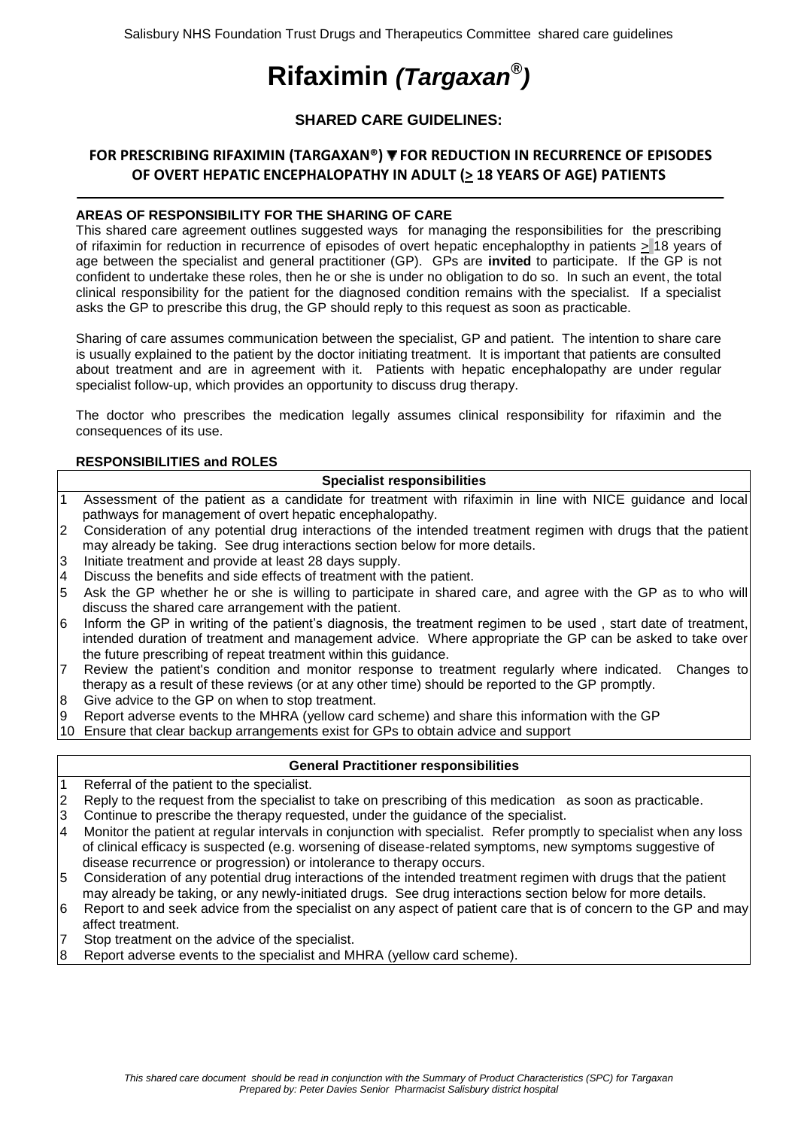# **Rifaximin** *(Targaxan® )*

# **SHARED CARE GUIDELINES:**

# FOR PRESCRIBING RIFAXIMIN (TARGAXAN®) ▼ FOR REDUCTION IN RECURRENCE OF EPISODES **OF OVERT HEPATIC ENCEPHALOPATHY IN ADULT (> 18 YEARS OF AGE) PATIENTS**

### **AREAS OF RESPONSIBILITY FOR THE SHARING OF CARE**

This shared care agreement outlines suggested ways for managing the responsibilities for the prescribing of rifaximin for reduction in recurrence of episodes of overt hepatic encephalopthy in patients > 18 years of age between the specialist and general practitioner (GP). GPs are **invited** to participate. If the GP is not confident to undertake these roles, then he or she is under no obligation to do so. In such an event, the total clinical responsibility for the patient for the diagnosed condition remains with the specialist. If a specialist asks the GP to prescribe this drug, the GP should reply to this request as soon as practicable.

Sharing of care assumes communication between the specialist, GP and patient. The intention to share care is usually explained to the patient by the doctor initiating treatment. It is important that patients are consulted about treatment and are in agreement with it. Patients with hepatic encephalopathy are under regular specialist follow-up, which provides an opportunity to discuss drug therapy.

The doctor who prescribes the medication legally assumes clinical responsibility for rifaximin and the consequences of its use.

#### **RESPONSIBILITIES and ROLES**

## **Specialist responsibilities**

- 1 Assessment of the patient as a candidate for treatment with rifaximin in line with NICE guidance and local pathways for management of overt hepatic encephalopathy.
- 2 Consideration of any potential drug interactions of the intended treatment regimen with drugs that the patient may already be taking. See drug interactions section below for more details.
- 3 Initiate treatment and provide at least 28 days supply.
- 4 Discuss the benefits and side effects of treatment with the patient.
- 5 Ask the GP whether he or she is willing to participate in shared care, and agree with the GP as to who will discuss the shared care arrangement with the patient.
- 6 Inform the GP in writing of the patient's diagnosis, the treatment regimen to be used , start date of treatment, intended duration of treatment and management advice. Where appropriate the GP can be asked to take over the future prescribing of repeat treatment within this guidance.
- 7 Review the patient's condition and monitor response to treatment regularly where indicated. Changes to therapy as a result of these reviews (or at any other time) should be reported to the GP promptly.
- 8 Give advice to the GP on when to stop treatment.
- 9 Report adverse events to the MHRA (yellow card scheme) and share this information with the GP
- 10 Ensure that clear backup arrangements exist for GPs to obtain advice and support

#### **General Practitioner responsibilities**

- 1 Referral of the patient to the specialist.
- $2$  Reply to the request from the specialist to take on prescribing of this medication as soon as practicable.
- 3 Continue to prescribe the therapy requested, under the guidance of the specialist.
- 4 Monitor the patient at regular intervals in conjunction with specialist. Refer promptly to specialist when any loss of clinical efficacy is suspected (e.g. worsening of disease-related symptoms, new symptoms suggestive of disease recurrence or progression) or intolerance to therapy occurs.
- 5 Consideration of any potential drug interactions of the intended treatment regimen with drugs that the patient may already be taking, or any newly-initiated drugs. See drug interactions section below for more details.
- 6 Report to and seek advice from the specialist on any aspect of patient care that is of concern to the GP and may affect treatment.
- 7 Stop treatment on the advice of the specialist.
- 8 Report adverse events to the specialist and MHRA (yellow card scheme).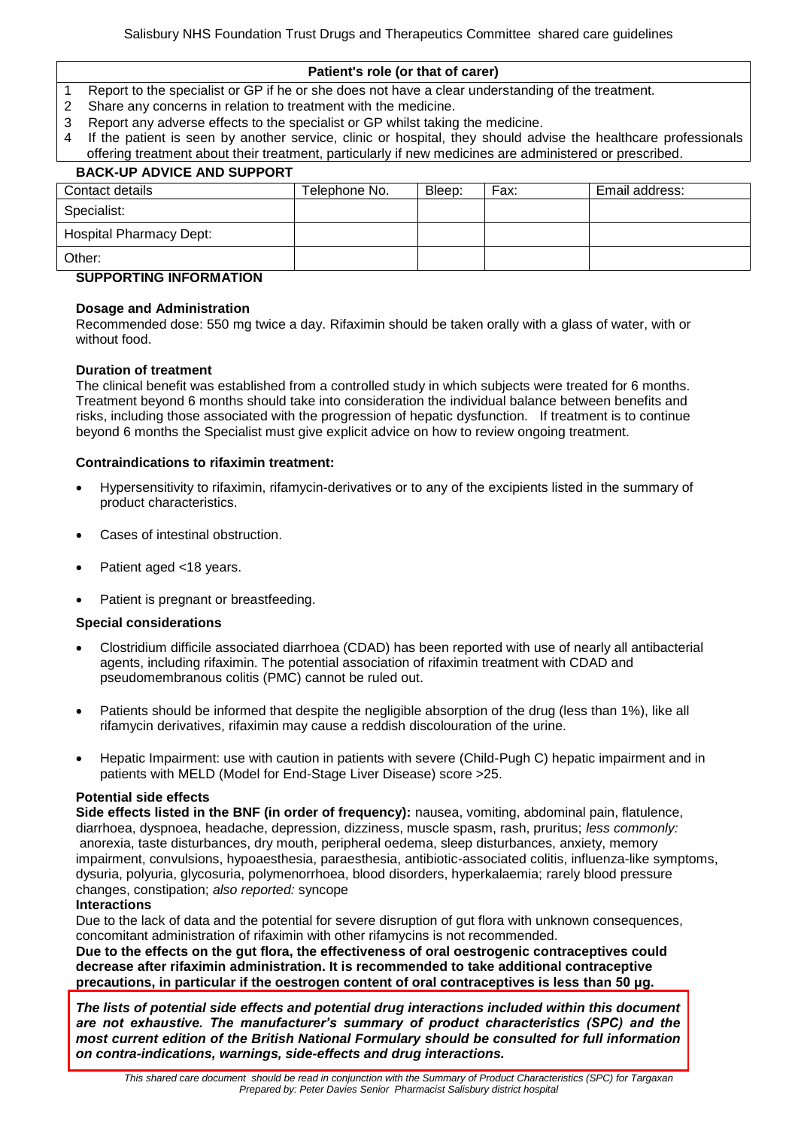#### **Patient's role (or that of carer)**

- 1 Report to the specialist or GP if he or she does not have a clear understanding of the treatment.
- 2 Share any concerns in relation to treatment with the medicine.
- 3 Report any adverse effects to the specialist or GP whilst taking the medicine.
- 4 If the patient is seen by another service, clinic or hospital, they should advise the healthcare professionals offering treatment about their treatment, particularly if new medicines are administered or prescribed.

# **BACK-UP ADVICE AND SUPPORT** Contact details Telephone No. Bleep: Fax: Email address: Specialist: Hospital Pharmacy Dept:

#### Other:

## **SUPPORTING INFORMATION**

#### **Dosage and Administration**

Recommended dose: 550 mg twice a day. Rifaximin should be taken orally with a glass of water, with or without food.

#### **Duration of treatment**

The clinical benefit was established from a controlled study in which subjects were treated for 6 months. Treatment beyond 6 months should take into consideration the individual balance between benefits and risks, including those associated with the progression of hepatic dysfunction. If treatment is to continue beyond 6 months the Specialist must give explicit advice on how to review ongoing treatment.

#### **Contraindications to rifaximin treatment:**

- Hypersensitivity to rifaximin, rifamycin-derivatives or to any of the excipients listed in the summary of product characteristics.
- Cases of intestinal obstruction.
- Patient aged <18 years.
- Patient is pregnant or breastfeeding.

#### **Special considerations**

- Clostridium difficile associated diarrhoea (CDAD) has been reported with use of nearly all antibacterial agents, including rifaximin. The potential association of rifaximin treatment with CDAD and pseudomembranous colitis (PMC) cannot be ruled out.
- Patients should be informed that despite the negligible absorption of the drug (less than 1%), like all rifamycin derivatives, rifaximin may cause a reddish discolouration of the urine.
- Hepatic Impairment: use with caution in patients with severe (Child-Pugh C) hepatic impairment and in patients with MELD (Model for End-Stage Liver Disease) score >25.

#### **Potential side effects**

**Side effects listed in the BNF (in order of frequency):** nausea, vomiting, abdominal pain, flatulence, diarrhoea, dyspnoea, headache, depression, dizziness, muscle spasm, rash, pruritus; *less commonly:*  anorexia, taste disturbances, dry mouth, peripheral oedema, sleep disturbances, anxiety, memory impairment, convulsions, hypoaesthesia, paraesthesia, antibiotic-associated colitis, influenza-like symptoms, dysuria, polyuria, glycosuria, polymenorrhoea, blood disorders, hyperkalaemia; rarely blood pressure changes, constipation; *also reported:* syncope

#### **Interactions**

Due to the lack of data and the potential for severe disruption of gut flora with unknown consequences, concomitant administration of rifaximin with other rifamycins is not recommended.

**Due to the effects on the gut flora, the effectiveness of oral oestrogenic contraceptives could decrease after rifaximin administration. It is recommended to take additional contraceptive precautions, in particular if the oestrogen content of oral contraceptives is less than 50 μg.**

*The lists of potential side effects and potential drug interactions included within this document are not exhaustive. The manufacturer's summary of product characteristics (SPC) and the most current edition of the British National Formulary should be consulted for full information on contra-indications, warnings, side-effects and drug interactions.*